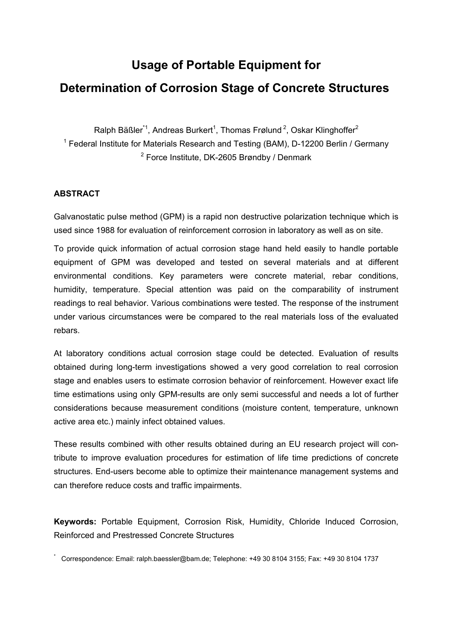# **Usage of Portable Equipment for Determination of Corrosion Stage of Concrete Structures**

Ralph Bäßler $^{\ast}$ 1, Andreas Burkert $^1$ , Thomas Frølund $^2$ , Oskar Klinghoffer $^2$ <sup>1</sup> Federal Institute for Materials Research and Testing (BAM), D-12200 Berlin / Germany <sup>2</sup> Force Institute, DK-2605 Brøndby / Denmark

# **ABSTRACT**

Galvanostatic pulse method (GPM) is a rapid non destructive polarization technique which is used since 1988 for evaluation of reinforcement corrosion in laboratory as well as on site.

To provide quick information of actual corrosion stage hand held easily to handle portable equipment of GPM was developed and tested on several materials and at different environmental conditions. Key parameters were concrete material, rebar conditions, humidity, temperature. Special attention was paid on the comparability of instrument readings to real behavior. Various combinations were tested. The response of the instrument under various circumstances were be compared to the real materials loss of the evaluated rebars.

At laboratory conditions actual corrosion stage could be detected. Evaluation of results obtained during long-term investigations showed a very good correlation to real corrosion stage and enables users to estimate corrosion behavior of reinforcement. However exact life time estimations using only GPM-results are only semi successful and needs a lot of further considerations because measurement conditions (moisture content, temperature, unknown active area etc.) mainly infect obtained values.

These results combined with other results obtained during an EU research project will contribute to improve evaluation procedures for estimation of life time predictions of concrete structures. End-users become able to optimize their maintenance management systems and can therefore reduce costs and traffic impairments.

**Keywords:** Portable Equipment, Corrosion Risk, Humidity, Chloride Induced Corrosion, Reinforced and Prestressed Concrete Structures

\* Correspondence: Email: ralph.baessler@bam.de; Telephone: +49 30 8104 3155; Fax: +49 30 8104 1737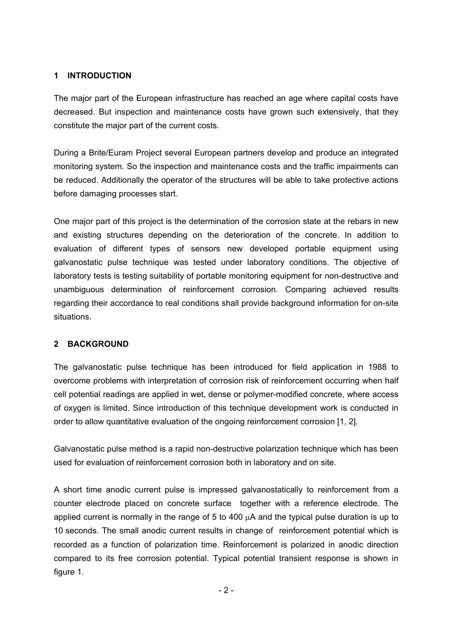## **1 INTRODUCTION**

The major part of the European infrastructure has reached an age where capital costs have decreased. But inspection and maintenance costs have grown such extensively, that they constitute the major part of the current costs.

During a Brite/Euram Project several European partners develop and produce an integrated monitoring system. So the inspection and maintenance costs and the traffic impairments can be reduced. Additionally the operator of the structures will be able to take protective actions before damaging processes start.

One major part of this project is the determination of the corrosion state at the rebars in new and existing structures depending on the deterioration of the concrete. In addition to evaluation of different types of sensors new developed portable equipment using galvanostatic pulse technique was tested under laboratory conditions. The objective of laboratory tests is testing suitability of portable monitoring equipment for non-destructive and unambiguous determination of reinforcement corrosion. Comparing achieved results regarding their accordance to real conditions shall provide background information for on-site situations.

# **2 BACKGROUND**

The galvanostatic pulse technique has been introduced for field application in 1988 to overcome problems with interpretation of corrosion risk of reinforcement occurring when half cell potential readings are applied in wet, dense or polymer-modified concrete, where access of oxygen is limited. Since introduction of this technique development work is conducted in order to allow quantitative evaluation of the ongoing reinforcement corrosion [\[1,](#page-12-0) [2\]](#page-12-1).

Galvanostatic pulse method is a rapid non-destructive polarization technique which has been used for evaluation of reinforcement corrosion both in laboratory and on site.

A short time anodic current pulse is impressed galvanostatically to reinforcement from a counter electrode placed on concrete surface together with a reference electrode. The applied current is normally in the range of 5 to 400  $\mu$ A and the typical pulse duration is up to 10 seconds. The small anodic current results in change of reinforcement potential which is recorded as a function of polarization time. Reinforcement is polarized in anodic direction compared to its free corrosion potential. Typical potential transient response is shown in [figure 1.](#page-2-0)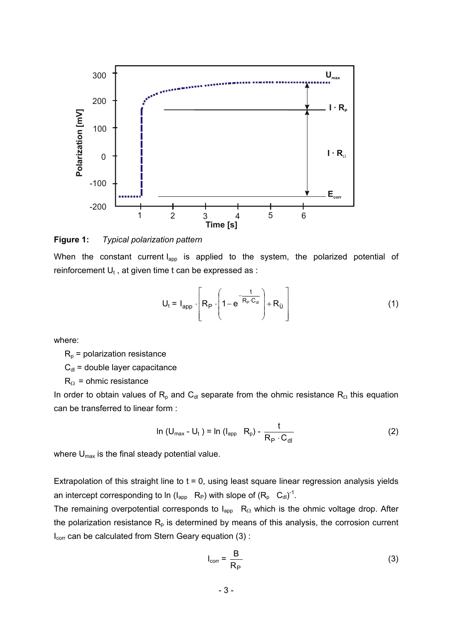

<span id="page-2-0"></span>**Figure 1:** *Typical polarization pattern* 

When the constant current I<sub>app</sub> is applied to the system, the polarized potential of reinforcement  $U_t$ , at given time t can be expressed as :

$$
U_t = I_{app} \cdot \left[ R_P \cdot \left( 1 - e^{-\frac{t}{R_P \cdot C_{di}}} \right) + R_{\tilde{U}} \right]
$$
 (1)

where:

 $R_p$  = polarization resistance

 $C_{\text{dl}}$  = double layer capacitance

 $R_{\Omega}$  = ohmic resistance

In order to obtain values of R<sub>p</sub> and C<sub>dl</sub> separate from the ohmic resistance R<sub>Ω</sub> this equation can be transferred to linear form :

$$
\ln (U_{\text{max}} - U_t) = \ln (I_{\text{app}} - R_p) - \frac{t}{R_p \cdot C_{\text{dl}}}
$$
 (2)

where  $U_{\text{max}}$  is the final steady potential value.

Extrapolation of this straight line to  $t = 0$ , using least square linear regression analysis yields an intercept corresponding to ln ( $I_{app}$  R<sub>P</sub>) with slope of  $(R_p \ C_{dl})^{-1}$ .

The remaining overpotential corresponds to  $I_{app}$  R<sub>Ω</sub> which is the ohmic voltage drop. After the polarization resistance  $R_p$  is determined by means of this analysis, the corrosion current I<sub>corr</sub> can be calculated from Stern Geary equation [\(3\)](#page-2-1) :

<span id="page-2-1"></span>
$$
I_{corr} = \frac{B}{R_P}
$$
 (3)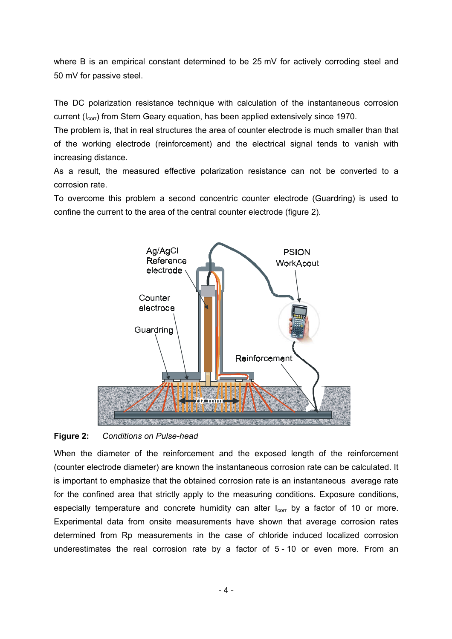where B is an empirical constant determined to be 25 mV for actively corroding steel and 50 mV for passive steel.

The DC polarization resistance technique with calculation of the instantaneous corrosion current ( $I_{corr}$ ) from Stern Geary equation, has been applied extensively since 1970.

The problem is, that in real structures the area of counter electrode is much smaller than that of the working electrode (reinforcement) and the electrical signal tends to vanish with increasing distance.

As a result, the measured effective polarization resistance can not be converted to a corrosion rate.

To overcome this problem a second concentric counter electrode (Guardring) is used to confine the current to the area of the central counter electrode [\(figure 2\)](#page-3-0).



# <span id="page-3-0"></span>**Figure 2:** *Conditions on Pulse-head*

When the diameter of the reinforcement and the exposed length of the reinforcement (counter electrode diameter) are known the instantaneous corrosion rate can be calculated. It is important to emphasize that the obtained corrosion rate is an instantaneous average rate for the confined area that strictly apply to the measuring conditions. Exposure conditions, especially temperature and concrete humidity can alter  $I_{corr}$  by a factor of 10 or more. Experimental data from onsite measurements have shown that average corrosion rates determined from Rp measurements in the case of chloride induced localized corrosion underestimates the real corrosion rate by a factor of 5 - 10 or even more. From an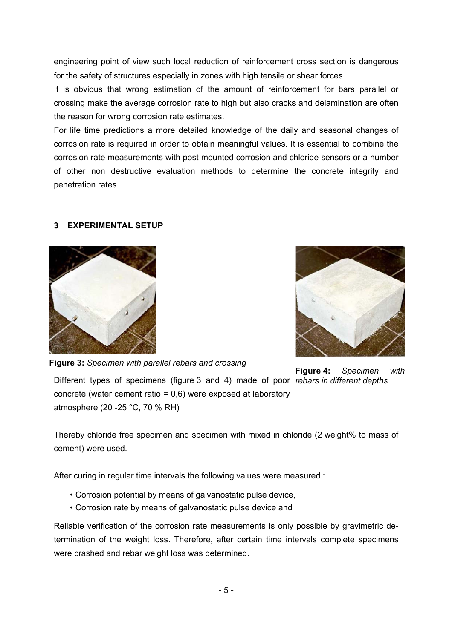engineering point of view such local reduction of reinforcement cross section is dangerous for the safety of structures especially in zones with high tensile or shear forces.

It is obvious that wrong estimation of the amount of reinforcement for bars parallel or crossing make the average corrosion rate to high but also cracks and delamination are often the reason for wrong corrosion rate estimates.

For life time predictions a more detailed knowledge of the daily and seasonal changes of corrosion rate is required in order to obtain meaningful values. It is essential to combine the corrosion rate measurements with post mounted corrosion and chloride sensors or a number of other non destructive evaluation methods to determine the concrete integrity and penetration rates.

### **3 EXPERIMENTAL SETUP**



**Figure 3:** *Specimen with parallel rebars and crossing*

**Figure 4:** *Specimen with*

Different types of specimens (figure 3 and 4) made of poor *rebars in different depths* concrete (water cement ratio = 0,6) were exposed at laboratory atmosphere (20 -25 °C, 70 % RH)

Thereby chloride free specimen and specimen with mixed in chloride (2 weight% to mass of cement) were used.

After curing in regular time intervals the following values were measured :

- Corrosion potential by means of galvanostatic pulse device,
- Corrosion rate by means of galvanostatic pulse device and

Reliable verification of the corrosion rate measurements is only possible by gravimetric determination of the weight loss. Therefore, after certain time in[tervals c](#page-5-0)omplete specimens were crashed and rebar weight loss was determined.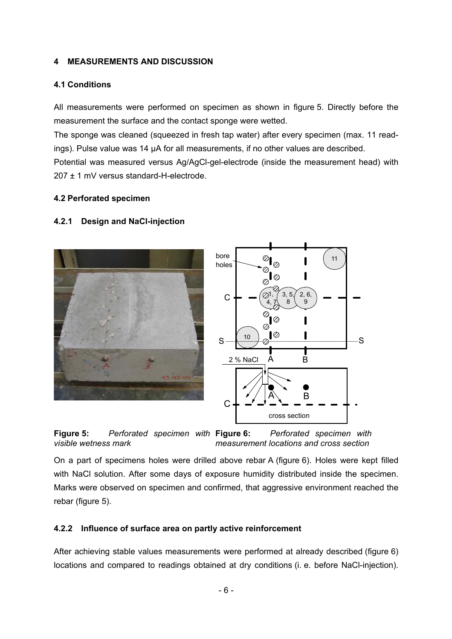### **4 MEASUREMENTS AND DISCUSSION**

### **4.1 Conditions**

All measurements were performed on specimen as shown in figure 5. Directly before the measurement the surface and the contact sponge were wetted.

The sponge was cleaned (squeezed in fresh tap water) after every specimen (max. 11 readings). Pulse value was 14 µA for all measurements, if no other values are described.

Potential was measured versus Ag/AgCl-gel-electrode (inside the measurement head) with 207 ± 1 mV versus standard-H-electrode.

### **4.2 Perforated specimen**

### **4.2.1 Design and NaCl-injection**



<span id="page-5-1"></span>

<span id="page-5-0"></span>**Figur[e 5:](#page-5-0)** *Perforated specimen with visible wetness mark* **Figure 6:** *Perforated specimen with measurement locations and cross section*

On a part of specimens holes were drilled above rebar A (figure 6). Holes were kept filled with NaCl solution. After some days of exposure humidity distributed inside the s[pecimen.](#page-5-1) Marks were observed on specimen and confirmed, that aggressive environment reached the rebar (figure 5).

#### **4.2.2 Influence of surface area on partly active reinforcement**

After achieving stable values measurements were performed at already described (figure 6) locations and compared to readings obtained at dry conditions (i. e. before NaCl-injection).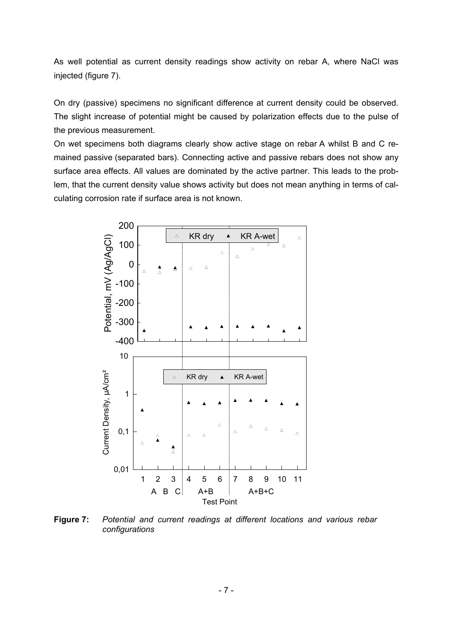As well potential as current density readings show activity on rebar A, where NaCl was injected (figure 7).

On dry (passive) specimens no significant difference at current density could be observed. The slight increase of potential might be caused by polarization effects due to the pulse of the previous measurement.

On wet specimens both diagrams clearly show active stage on rebar A whilst B and C remained passive (separated bars). Connecting active and passive rebars does not show any surface area effects. All values are dominated by the active partner. This leads to the problem, that the current density value shows activity but does not mean anything in terms of calculating corrosion rate if surface area is not known.



**Figure 7:** *Potential and current readings at different locations and various rebar configurations*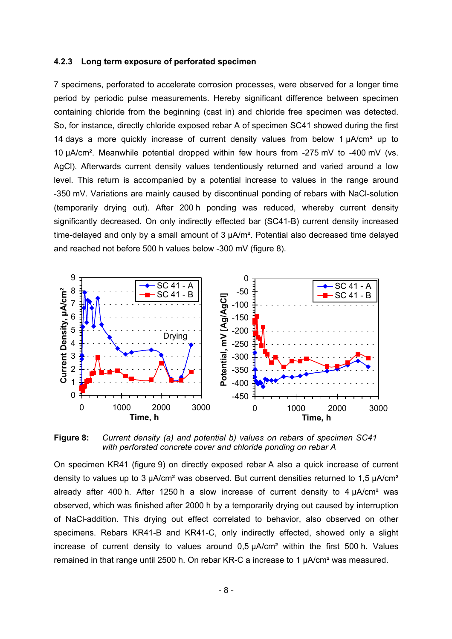#### **4.2.3 Long term exposure of perforated specimen**

7 specimens, perforated to accelerate corrosion processes, were observed for a longer time period by periodic pulse measurements. Hereby significant difference between specimen containing chloride from the beginning (cast in) and chloride free specimen was detected. So, for instance, directly chloride exposed rebar A of specimen SC41 showed during the first 14 days a more quickly increase of current densit[y values](#page-7-0) from below 1  $\mu$ A/cm<sup>2</sup> up to 10 µA/cm². Meanwhile potential dropped within few hours from -275 mV to -400 mV (vs. AgCl). Afterwards current density values tendentiously returned and varied around a low level. This return is accompanied by a potential increase to values in the range around -350 mV. Variations are mainly caused by discontinual ponding of rebars with NaCl-solution (temporarily drying out). After 200 h ponding was reduced, whereby current density significantly decreased. On only indirectly effected bar (SC41-B) current density increased time-delayed and only by a small amount of 3  $\mu$ A/m<sup>2</sup>. Potential also decreased time delayed and reached not before 500 h values below -300 mV (figure 8).

<span id="page-7-0"></span>

**Figure 8:** *Current density (a) and potential b) values on rebars of specimen SC41 with perforated concrete cover and chloride ponding on rebar A* 

On specimen KR41 (figure 9) on directly exposed rebar A also a quick increase of current density to values up to 3 µA/cm<sup>2</sup> was observed. But current densities returned to 1,5 µA/cm<sup>2</sup> already after 400 h. After 1250 h a slow increase of current density to  $4 \mu A/cm^2$  was observed, which was finished after 2000 h by a temporarily drying out caused by interruption of NaCl-addition. This drying out effect correlated to behavior, also observed on other specimens. Rebars KR41-B and KR41-C, only indirectly effected, showed only a slight increase of current density to values around  $0.5 \mu A/cm^2$  within the first 500 h. Values remained in that range until 2500 h. On rebar KR-C a increase to 1 µA/cm² was measured.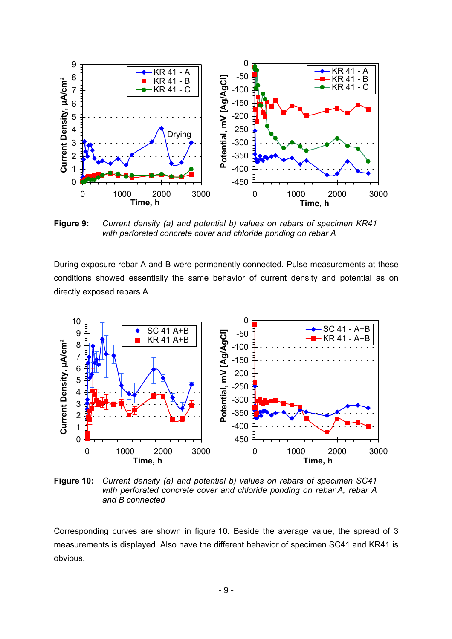

**Figure 9:** *Current density (a) and potential b) values on rebars of specimen KR41 with perforated concrete cover and chloride ponding on rebar A* 

During exposure rebar A and B were permanently connected. Pulse measurements at these conditions showed essentially the same behavior of current density and potential as on directly exposed rebars A.



<span id="page-8-0"></span>**Figure 10:** *Current density (a) and potential b) values on rebars of specimen SC41 with perforated concrete cover and chloride ponding on rebar A, rebar A and B connected* 

Corresponding curves are shown in [figure 10.](#page-8-0) Beside the average value, the spread of 3 measurements is displayed. Also have the different behavior of specimen SC41 and KR41 is obvious.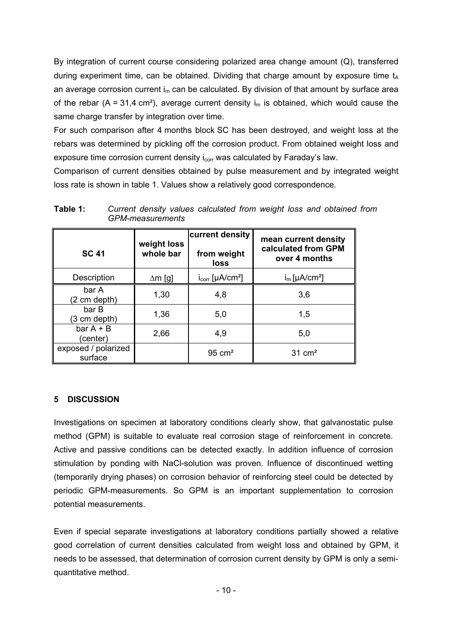By integration of current course considering polarized area change amount (Q), transferred during experiment time, can be obtained. Dividing that charge amount by exposure time  $t_A$ an average corrosion current  $i_m$  can be calculated. By division of that amount by surface area of the rebar (A = 31,4 cm<sup>2</sup>), average current density i<sub>m</sub> is obtained, which would cause the same charge transfer by integration over time.

For such comparison after 4 months block SC has been destroyed, and weight loss at the rebars was determined by pickling off the corrosion product. From obtained weight loss and exposure time corrosion current density  $i_{corr}$  was calculated by Faraday's law.

Comparison of current densities obtained by pulse measurement and by integrated weight loss rate is shown in [table 1.](#page-9-0) Values show a relatively good correspondence.

| <b>SC 41</b>                   | weight loss<br>whole bar | current density<br>from weight<br>loss | mean current density<br>calculated from GPM<br>over 4 months |
|--------------------------------|--------------------------|----------------------------------------|--------------------------------------------------------------|
| Description                    | $\Delta m$ [g]           | $i_{corr}$ [µA/cm <sup>2</sup> ]       | $i_m$ [µA/cm <sup>2</sup> ]                                  |
| bar A<br>(2 cm depth)          | 1,30                     | 4,8                                    | 3,6                                                          |
| bar B<br>(3 cm depth)          | 1,36                     | 5,0                                    | 1,5                                                          |
| $bar A + B$<br>(center)        | 2,66                     | 4,9                                    | 5,0                                                          |
| exposed / polarized<br>surface |                          | $95 \text{ cm}^2$                      | $31 \text{ cm}^2$                                            |

<span id="page-9-0"></span>**Table 1:** *Current density values calculated from weight loss and obtained from GPM-measurements* 

# **5 DISCUSSION**

Investigations on specimen at laboratory conditions clearly show, that galvanostatic pulse method (GPM) is suitable to evaluate real corrosion stage of reinforcement in concrete. Active and passive conditions can be detected exactly. In addition influence of corrosion stimulation by ponding with NaCl-solution was proven. Influence of discontinued wetting (temporarily drying phases) on corrosion behavior of reinforcing steel could be detected by periodic GPM-measurements. So GPM is an important supplementation to corrosion potential measurements.

Even if special separate investigations at laboratory conditions partially showed a relative good correlation of current densities calculated from weight loss and obtained by GPM, it needs to be assessed, that determination of corrosion current density by GPM is only a semiquantitative method.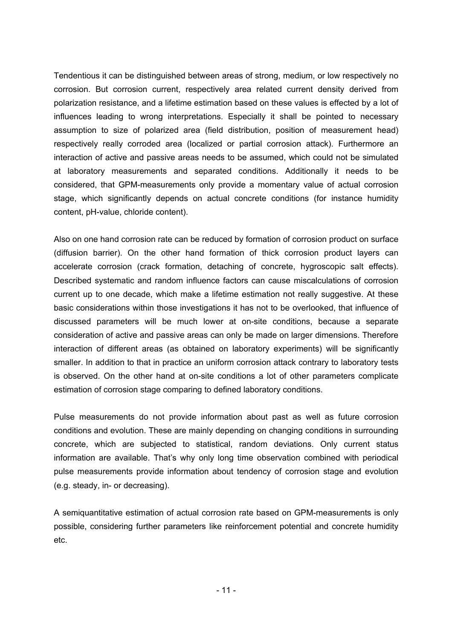Tendentious it can be distinguished between areas of strong, medium, or low respectively no corrosion. But corrosion current, respectively area related current density derived from polarization resistance, and a lifetime estimation based on these values is effected by a lot of influences leading to wrong interpretations. Especially it shall be pointed to necessary assumption to size of polarized area (field distribution, position of measurement head) respectively really corroded area (localized or partial corrosion attack). Furthermore an interaction of active and passive areas needs to be assumed, which could not be simulated at laboratory measurements and separated conditions. Additionally it needs to be considered, that GPM-measurements only provide a momentary value of actual corrosion stage, which significantly depends on actual concrete conditions (for instance humidity content, pH-value, chloride content).

Also on one hand corrosion rate can be reduced by formation of corrosion product on surface (diffusion barrier). On the other hand formation of thick corrosion product layers can accelerate corrosion (crack formation, detaching of concrete, hygroscopic salt effects). Described systematic and random influence factors can cause miscalculations of corrosion current up to one decade, which make a lifetime estimation not really suggestive. At these basic considerations within those investigations it has not to be overlooked, that influence of discussed parameters will be much lower at on-site conditions, because a separate consideration of active and passive areas can only be made on larger dimensions. Therefore interaction of different areas (as obtained on laboratory experiments) will be significantly smaller. In addition to that in practice an uniform corrosion attack contrary to laboratory tests is observed. On the other hand at on-site conditions a lot of other parameters complicate estimation of corrosion stage comparing to defined laboratory conditions.

Pulse measurements do not provide information about past as well as future corrosion conditions and evolution. These are mainly depending on changing conditions in surrounding concrete, which are subjected to statistical, random deviations. Only current status information are available. That's why only long time observation combined with periodical pulse measurements provide information about tendency of corrosion stage and evolution (e.g. steady, in- or decreasing).

A semiquantitative estimation of actual corrosion rate based on GPM-measurements is only possible, considering further parameters like reinforcement potential and concrete humidity etc.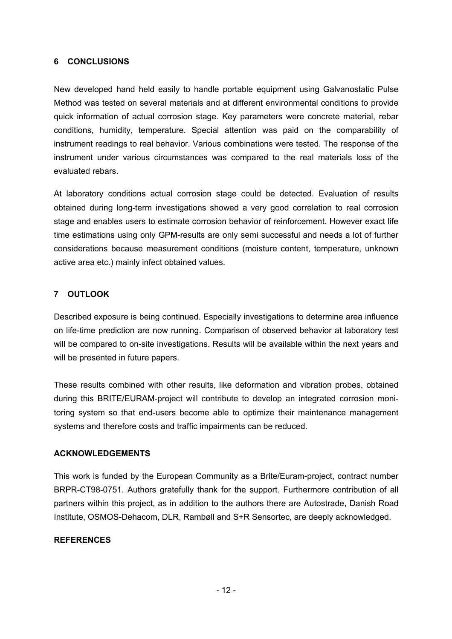### **6 CONCLUSIONS**

New developed hand held easily to handle portable equipment using Galvanostatic Pulse Method was tested on several materials and at different environmental conditions to provide quick information of actual corrosion stage. Key parameters were concrete material, rebar conditions, humidity, temperature. Special attention was paid on the comparability of instrument readings to real behavior. Various combinations were tested. The response of the instrument under various circumstances was compared to the real materials loss of the evaluated rebars.

At laboratory conditions actual corrosion stage could be detected. Evaluation of results obtained during long-term investigations showed a very good correlation to real corrosion stage and enables users to estimate corrosion behavior of reinforcement. However exact life time estimations using only GPM-results are only semi successful and needs a lot of further considerations because measurement conditions (moisture content, temperature, unknown active area etc.) mainly infect obtained values.

# **7 OUTLOOK**

Described exposure is being continued. Especially investigations to determine area influence on life-time prediction are now running. Comparison of observed behavior at laboratory test will be compared to on-site investigations. Results will be available within the next years and will be presented in future papers.

These results combined with other results, like deformation and vibration probes, obtained during this BRITE/EURAM-project will contribute to develop an integrated corrosion monitoring system so that end-users become able to optimize their maintenance management systems and therefore costs and traffic impairments can be reduced.

# **ACKNOWLEDGEMENTS**

This work is funded by the European Community as a Brite/Euram-project, contract number BRPR-CT98-0751. Authors gratefully thank for the support. Furthermore contribution of all partners within this project, as in addition to the authors there are Autostrade, Danish Road Institute, OSMOS-Dehacom, DLR, Rambøll and S+R Sensortec, are deeply acknowledged.

# **REFERENCES**